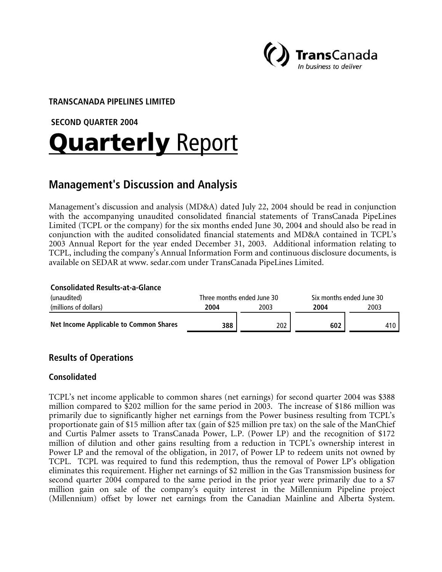

#### **TRANSCANADA PIPELINES LIMITED**

 **SECOND QUARTER 2004** 

# **Quarterly Report**

# **Management's Discussion and Analysis**

Management's discussion and analysis (MD&A) dated July 22, 2004 should be read in conjunction with the accompanying unaudited consolidated financial statements of TransCanada PipeLines Limited (TCPL or the company) for the six months ended June 30, 2004 and should also be read in conjunction with the audited consolidated financial statements and MD&A contained in TCPL's 2003 Annual Report for the year ended December 31, 2003. Additional information relating to TCPL, including the company's Annual Information Form and continuous disclosure documents, is available on SEDAR at www. sedar.com under TransCanada PipeLines Limited.

#### **Consolidated Results-at-a-Glance**

| (unaudited)                                   | Three months ended June 30 |      | Six months ended June 30 |      |  |
|-----------------------------------------------|----------------------------|------|--------------------------|------|--|
| (millions of dollars)                         | 2004                       | 2003 | 2004                     | 2003 |  |
| <b>Net Income Applicable to Common Shares</b> | 388                        | 202  | 602                      | 410  |  |

## **Results of Operations**

#### **Consolidated**

TCPL's net income applicable to common shares (net earnings) for second quarter 2004 was \$388 million compared to \$202 million for the same period in 2003. The increase of \$186 million was primarily due to significantly higher net earnings from the Power business resulting from TCPL's proportionate gain of \$15 million after tax (gain of \$25 million pre tax) on the sale of the ManChief and Curtis Palmer assets to TransCanada Power, L.P. (Power LP) and the recognition of \$172 million of dilution and other gains resulting from a reduction in TCPL's ownership interest in Power LP and the removal of the obligation, in 2017, of Power LP to redeem units not owned by TCPL. TCPL was required to fund this redemption, thus the removal of Power LP's obligation eliminates this requirement. Higher net earnings of \$2 million in the Gas Transmission business for second quarter 2004 compared to the same period in the prior year were primarily due to a \$7 million gain on sale of the company's equity interest in the Millennium Pipeline project (Millennium) offset by lower net earnings from the Canadian Mainline and Alberta System.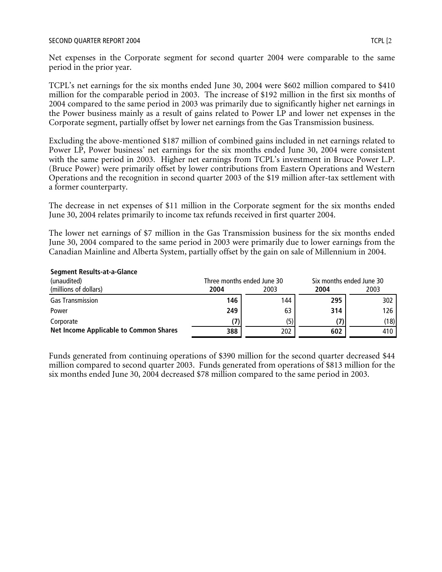TCPL's net earnings for the six months ended June 30, 2004 were \$602 million compared to \$410 million for the comparable period in 2003. The increase of \$192 million in the first six months of 2004 compared to the same period in 2003 was primarily due to significantly higher net earnings in the Power business mainly as a result of gains related to Power LP and lower net expenses in the Corporate segment, partially offset by lower net earnings from the Gas Transmission business.

Excluding the above-mentioned \$187 million of combined gains included in net earnings related to Power LP, Power business' net earnings for the six months ended June 30, 2004 were consistent with the same period in 2003. Higher net earnings from TCPL's investment in Bruce Power L.P. (Bruce Power) were primarily offset by lower contributions from Eastern Operations and Western Operations and the recognition in second quarter 2003 of the \$19 million after-tax settlement with a former counterparty.

The decrease in net expenses of \$11 million in the Corporate segment for the six months ended June 30, 2004 relates primarily to income tax refunds received in first quarter 2004.

The lower net earnings of \$7 million in the Gas Transmission business for the six months ended June 30, 2004 compared to the same period in 2003 were primarily due to lower earnings from the Canadian Mainline and Alberta System, partially offset by the gain on sale of Millennium in 2004.

| beginent nesures at a Giance<br>(unaudited)   |      | Three months ended June 30 |      | Six months ended June 30 |  |  |
|-----------------------------------------------|------|----------------------------|------|--------------------------|--|--|
| (millions of dollars)                         | 2004 | 2003                       | 2004 | 2003                     |  |  |
| <b>Gas Transmission</b>                       | 146  | 144                        | 295  | 302                      |  |  |
| Power                                         | 249  | 63                         | 314  | 126                      |  |  |
| Corporate                                     |      | (5)                        |      | (18)                     |  |  |
| <b>Net Income Applicable to Common Shares</b> | 388  | 202                        | 602  | 410                      |  |  |

#### **Segment Results-at-a-Glance**

Funds generated from continuing operations of \$390 million for the second quarter decreased \$44 million compared to second quarter 2003. Funds generated from operations of \$813 million for the six months ended June 30, 2004 decreased \$78 million compared to the same period in 2003.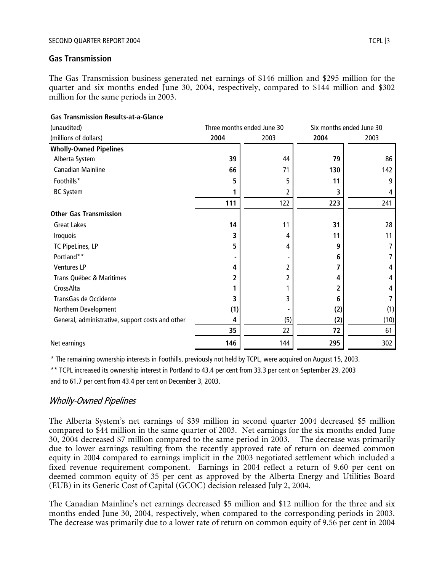#### **Gas Transmission**

The Gas Transmission business generated net earnings of \$146 million and \$295 million for the quarter and six months ended June 30, 2004, respectively, compared to \$144 million and \$302 million for the same periods in 2003.

| (unaudited)                                      | Three months ended June 30 |      |      | Six months ended June 30 |
|--------------------------------------------------|----------------------------|------|------|--------------------------|
| (millions of dollars)                            | 2004                       | 2003 | 2004 | 2003                     |
| <b>Wholly-Owned Pipelines</b>                    |                            |      |      |                          |
| Alberta System                                   | 39                         | 44   | 79   | 86                       |
| <b>Canadian Mainline</b>                         | 66                         | 71   | 130  | 142                      |
| Foothills*                                       | 5                          | 5    | 11   | 9                        |
| <b>BC System</b>                                 | 1                          | 2    | 3    | 4                        |
|                                                  | 111                        | 122  | 223  | 241                      |
| <b>Other Gas Transmission</b>                    |                            |      |      |                          |
| <b>Great Lakes</b>                               | 14                         | 11   | 31   | 28                       |
| Iroquois                                         | 3                          | 4    | 11   | 11                       |
| TC PipeLines, LP                                 | 5                          | 4    | 9    | 7                        |
| Portland**                                       |                            |      | 6    | 7                        |
| Ventures LP                                      | 4                          |      | 7    | 4                        |
| Trans Québec & Maritimes                         | 2                          |      | 4    | 4                        |
| CrossAlta                                        |                            |      | 2    | 4                        |
| TransGas de Occidente                            | 3                          | 3    | 6    | 7                        |
| Northern Development                             | (1)                        |      | (2)  | (1)                      |
| General, administrative, support costs and other | 4                          | (5)  | (2)  | (10)                     |
|                                                  | 35                         | 22   | 72   | 61                       |
| Net earnings                                     | 146                        | 144  | 295  | 302                      |

## **Gas Transmission Results-at-a-Glance**

\* The remaining ownership interests in Foothills, previously not held by TCPL, were acquired on August 15, 2003.

\*\* TCPL increased its ownership interest in Portland to 43.4 per cent from 33.3 per cent on September 29, 2003

and to 61.7 per cent from 43.4 per cent on December 3, 2003.

## Wholly-Owned Pipelines

The Alberta System's net earnings of \$39 million in second quarter 2004 decreased \$5 million compared to \$44 million in the same quarter of 2003. Net earnings for the six months ended June 30, 2004 decreased \$7 million compared to the same period in 2003. The decrease was primarily due to lower earnings resulting from the recently approved rate of return on deemed common equity in 2004 compared to earnings implicit in the 2003 negotiated settlement which included a fixed revenue requirement component. Earnings in 2004 reflect a return of 9.60 per cent on deemed common equity of 35 per cent as approved by the Alberta Energy and Utilities Board (EUB) in its Generic Cost of Capital (GCOC) decision released July 2, 2004.

The Canadian Mainline's net earnings decreased \$5 million and \$12 million for the three and six months ended June 30, 2004, respectively, when compared to the corresponding periods in 2003. The decrease was primarily due to a lower rate of return on common equity of 9.56 per cent in 2004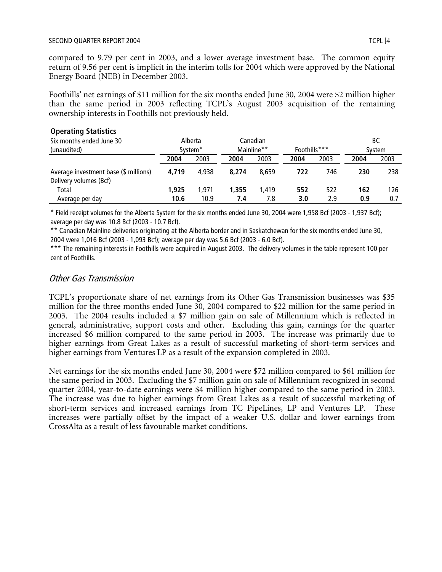compared to 9.79 per cent in 2003, and a lower average investment base. The common equity return of 9.56 per cent is implicit in the interim tolls for 2004 which were approved by the National Energy Board (NEB) in December 2003.

Foothills' net earnings of \$11 million for the six months ended June 30, 2004 were \$2 million higher than the same period in 2003 reflecting TCPL's August 2003 acquisition of the remaining ownership interests in Foothills not previously held.

#### **Operating Statistics**

| Six months ended June 30<br>(unaudited)                         |       | Alberta<br>System <sup>*</sup> |       | Canadian<br>Mainline** | Foothills*** |      |      | ВC<br>System |
|-----------------------------------------------------------------|-------|--------------------------------|-------|------------------------|--------------|------|------|--------------|
|                                                                 | 2004  | 2003                           | 2004  | 2003                   | 2004         | 2003 | 2004 | 2003         |
| Average investment base (\$ millions)<br>Delivery volumes (Bcf) | 4.719 | 4.938                          | 8.274 | 8.659                  | 722          | 746  | 230  | 238          |
| Total                                                           | 1,925 | 1.971                          | 1,355 | 1.419                  | 552          | 522  | 162  | 126          |
| Average per day                                                 | 10.6  | 10.9                           | 7.4   | 7.8                    | 3.0          | 2.9  | 0.9  | 0.7          |

\* Field receipt volumes for the Alberta System for the six months ended June 30, 2004 were 1,958 Bcf (2003 - 1,937 Bcf); average per day was 10.8 Bcf (2003 - 10.7 Bcf).

\*\* Canadian Mainline deliveries originating at the Alberta border and in Saskatchewan for the six months ended June 30, 2004 were 1,016 Bcf (2003 - 1,093 Bcf); average per day was 5.6 Bcf (2003 - 6.0 Bcf).

\*\*\* The remaining interests in Foothills were acquired in August 2003. The delivery volumes in the table represent 100 per cent of Foothills.

#### Other Gas Transmission

TCPL's proportionate share of net earnings from its Other Gas Transmission businesses was \$35 million for the three months ended June 30, 2004 compared to \$22 million for the same period in 2003. The 2004 results included a \$7 million gain on sale of Millennium which is reflected in general, administrative, support costs and other. Excluding this gain, earnings for the quarter increased \$6 million compared to the same period in 2003. The increase was primarily due to higher earnings from Great Lakes as a result of successful marketing of short-term services and higher earnings from Ventures LP as a result of the expansion completed in 2003.

Net earnings for the six months ended June 30, 2004 were \$72 million compared to \$61 million for the same period in 2003. Excluding the \$7 million gain on sale of Millennium recognized in second quarter 2004, year-to-date earnings were \$4 million higher compared to the same period in 2003. The increase was due to higher earnings from Great Lakes as a result of successful marketing of short-term services and increased earnings from TC PipeLines, LP and Ventures LP. These increases were partially offset by the impact of a weaker U.S. dollar and lower earnings from CrossAlta as a result of less favourable market conditions.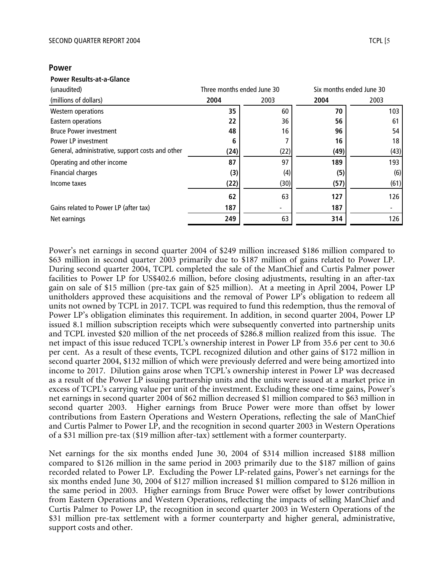#### **Power**

#### **Power Results-at-a-Glance**

| (unaudited)                                      | Three months ended June 30 |      |      | Six months ended June 30 |
|--------------------------------------------------|----------------------------|------|------|--------------------------|
| (millions of dollars)                            | 2004                       | 2003 | 2004 | 2003                     |
| Western operations                               | 35                         | 60   | 70   | 103                      |
| Eastern operations                               | 22                         | 36   | 56   | 61                       |
| <b>Bruce Power investment</b>                    | 48                         | 16   | 96   | 54                       |
| Power LP investment                              | 6                          |      | 16   | 18                       |
| General, administrative, support costs and other | (24)                       | (22) | (49) | (43)                     |
| Operating and other income                       | 87                         | 97   | 189  | 193                      |
| <b>Financial charges</b>                         | (3)                        | (4)  | (5)  | (6)                      |
| Income taxes                                     | (22)                       | (30) | (57) | (61)                     |
|                                                  | 62                         | 63   | 127  | 126                      |
| Gains related to Power LP (after tax)            | 187                        |      | 187  |                          |
| Net earnings                                     | 249                        | 63   | 314  | 126                      |

Power's net earnings in second quarter 2004 of \$249 million increased \$186 million compared to \$63 million in second quarter 2003 primarily due to \$187 million of gains related to Power LP. During second quarter 2004, TCPL completed the sale of the ManChief and Curtis Palmer power facilities to Power LP for US\$402.6 million, before closing adjustments, resulting in an after-tax gain on sale of \$15 million (pre-tax gain of \$25 million). At a meeting in April 2004, Power LP unitholders approved these acquisitions and the removal of Power LP's obligation to redeem all units not owned by TCPL in 2017. TCPL was required to fund this redemption, thus the removal of Power LP's obligation eliminates this requirement. In addition, in second quarter 2004, Power LP issued 8.1 million subscription receipts which were subsequently converted into partnership units and TCPL invested \$20 million of the net proceeds of \$286.8 million realized from this issue. The net impact of this issue reduced TCPL's ownership interest in Power LP from 35.6 per cent to 30.6 per cent. As a result of these events, TCPL recognized dilution and other gains of \$172 million in second quarter 2004, \$132 million of which were previously deferred and were being amortized into income to 2017. Dilution gains arose when TCPL's ownership interest in Power LP was decreased as a result of the Power LP issuing partnership units and the units were issued at a market price in excess of TCPL's carrying value per unit of the investment. Excluding these one-time gains, Power's net earnings in second quarter 2004 of \$62 million decreased \$1 million compared to \$63 million in second quarter 2003. Higher earnings from Bruce Power were more than offset by lower contributions from Eastern Operations and Western Operations, reflecting the sale of ManChief and Curtis Palmer to Power LP, and the recognition in second quarter 2003 in Western Operations of a \$31 million pre-tax (\$19 million after-tax) settlement with a former counterparty.

Net earnings for the six months ended June 30, 2004 of \$314 million increased \$188 million compared to \$126 million in the same period in 2003 primarily due to the \$187 million of gains recorded related to Power LP. Excluding the Power LP-related gains, Power's net earnings for the six months ended June 30, 2004 of \$127 million increased \$1 million compared to \$126 million in the same period in 2003. Higher earnings from Bruce Power were offset by lower contributions from Eastern Operations and Western Operations, reflecting the impacts of selling ManChief and Curtis Palmer to Power LP, the recognition in second quarter 2003 in Western Operations of the \$31 million pre-tax settlement with a former counterparty and higher general, administrative, support costs and other.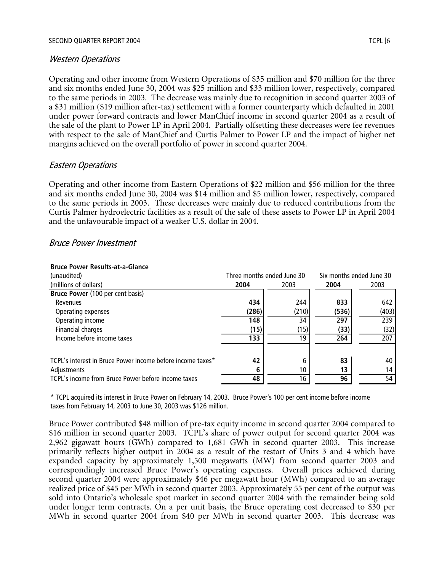#### Western Operations

Operating and other income from Western Operations of \$35 million and \$70 million for the three and six months ended June 30, 2004 was \$25 million and \$33 million lower, respectively, compared to the same periods in 2003. The decrease was mainly due to recognition in second quarter 2003 of a \$31 million (\$19 million after-tax) settlement with a former counterparty which defaulted in 2001 under power forward contracts and lower ManChief income in second quarter 2004 as a result of the sale of the plant to Power LP in April 2004. Partially offsetting these decreases were fee revenues with respect to the sale of ManChief and Curtis Palmer to Power LP and the impact of higher net margins achieved on the overall portfolio of power in second quarter 2004.

#### Eastern Operations

Operating and other income from Eastern Operations of \$22 million and \$56 million for the three and six months ended June 30, 2004 was \$14 million and \$5 million lower, respectively, compared to the same periods in 2003. These decreases were mainly due to reduced contributions from the Curtis Palmer hydroelectric facilities as a result of the sale of these assets to Power LP in April 2004 and the unfavourable impact of a weaker U.S. dollar in 2004.

#### Bruce Power Investment

| (unaudited)                                                | Three months ended June 30 |       | Six months ended June 30 |       |  |
|------------------------------------------------------------|----------------------------|-------|--------------------------|-------|--|
| (millions of dollars)                                      | 2004                       | 2003  | 2004                     | 2003  |  |
| Bruce Power (100 per cent basis)                           |                            |       |                          |       |  |
| Revenues                                                   | 434                        | 244   | 833                      | 642   |  |
| Operating expenses                                         | (286)                      | (210) | (536)                    | (403) |  |
| Operating income                                           | 148                        | 34    | 297                      | 239   |  |
| Financial charges                                          | (15)                       | (15)  | (33)                     | (32)  |  |
| Income before income taxes                                 | 133                        | 19    | 264                      | 207   |  |
|                                                            |                            |       |                          |       |  |
| TCPL's interest in Bruce Power income before income taxes* | 42                         | 6     | 83                       | 40    |  |
| Adjustments                                                |                            | 10    | 13                       | 14    |  |
| TCPL's income from Bruce Power before income taxes         | 48                         | 16    | 96                       | 54    |  |

#### **Bruce Power Results-at-a-Glance**

\* TCPL acquired its interest in Bruce Power on February 14, 2003. Bruce Power's 100 per cent income before income taxes from February 14, 2003 to June 30, 2003 was \$126 million.

Bruce Power contributed \$48 million of pre-tax equity income in second quarter 2004 compared to \$16 million in second quarter 2003. TCPL's share of power output for second quarter 2004 was 2,962 gigawatt hours (GWh) compared to 1,681 GWh in second quarter 2003. This increase primarily reflects higher output in 2004 as a result of the restart of Units 3 and 4 which have expanded capacity by approximately 1,500 megawatts (MW) from second quarter 2003 and correspondingly increased Bruce Power's operating expenses. Overall prices achieved during second quarter 2004 were approximately \$46 per megawatt hour (MWh) compared to an average realized price of \$45 per MWh in second quarter 2003. Approximately 55 per cent of the output was sold into Ontario's wholesale spot market in second quarter 2004 with the remainder being sold under longer term contracts. On a per unit basis, the Bruce operating cost decreased to \$30 per MWh in second quarter 2004 from \$40 per MWh in second quarter 2003. This decrease was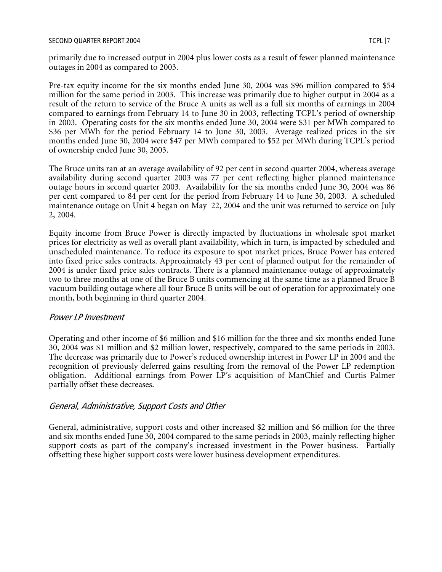primarily due to increased output in 2004 plus lower costs as a result of fewer planned maintenance outages in 2004 as compared to 2003.

Pre-tax equity income for the six months ended June 30, 2004 was \$96 million compared to \$54 million for the same period in 2003. This increase was primarily due to higher output in 2004 as a result of the return to service of the Bruce A units as well as a full six months of earnings in 2004 compared to earnings from February 14 to June 30 in 2003, reflecting TCPL's period of ownership in 2003. Operating costs for the six months ended June 30, 2004 were \$31 per MWh compared to \$36 per MWh for the period February 14 to June 30, 2003. Average realized prices in the six months ended June 30, 2004 were \$47 per MWh compared to \$52 per MWh during TCPL's period of ownership ended June 30, 2003.

The Bruce units ran at an average availability of 92 per cent in second quarter 2004, whereas average availability during second quarter 2003 was 77 per cent reflecting higher planned maintenance outage hours in second quarter 2003. Availability for the six months ended June 30, 2004 was 86 per cent compared to 84 per cent for the period from February 14 to June 30, 2003. A scheduled maintenance outage on Unit 4 began on May 22, 2004 and the unit was returned to service on July 2, 2004.

Equity income from Bruce Power is directly impacted by fluctuations in wholesale spot market prices for electricity as well as overall plant availability, which in turn, is impacted by scheduled and unscheduled maintenance. To reduce its exposure to spot market prices, Bruce Power has entered into fixed price sales contracts. Approximately 43 per cent of planned output for the remainder of 2004 is under fixed price sales contracts. There is a planned maintenance outage of approximately two to three months at one of the Bruce B units commencing at the same time as a planned Bruce B vacuum building outage where all four Bruce B units will be out of operation for approximately one month, both beginning in third quarter 2004.

## Power LP Investment

Operating and other income of \$6 million and \$16 million for the three and six months ended June 30, 2004 was \$1 million and \$2 million lower, respectively, compared to the same periods in 2003. The decrease was primarily due to Power's reduced ownership interest in Power LP in 2004 and the recognition of previously deferred gains resulting from the removal of the Power LP redemption obligation. Additional earnings from Power LP's acquisition of ManChief and Curtis Palmer partially offset these decreases.

## General, Administrative, Support Costs and Other

General, administrative, support costs and other increased \$2 million and \$6 million for the three and six months ended June 30, 2004 compared to the same periods in 2003, mainly reflecting higher support costs as part of the company's increased investment in the Power business. Partially offsetting these higher support costs were lower business development expenditures.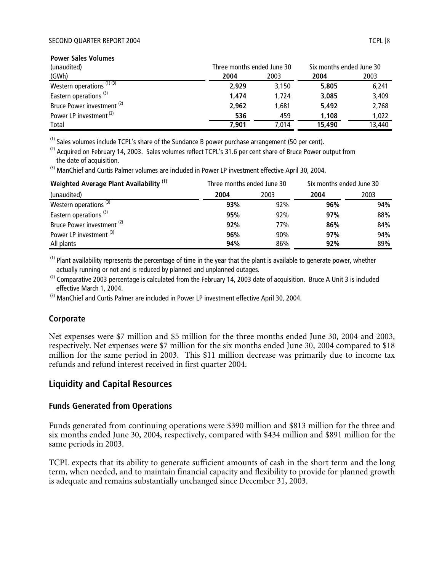| <b>Power Sales Volumes</b>            |                            |       |                          |        |
|---------------------------------------|----------------------------|-------|--------------------------|--------|
| (unaudited)                           | Three months ended June 30 |       | Six months ended June 30 |        |
| (GWh)                                 | 2004                       | 2003  | 2004                     | 2003   |
| Western operations $(1)$ $(3)$        | 2.929                      | 3.150 | 5,805                    | 6,241  |
| Eastern operations <sup>(3)</sup>     | 1.474                      | 1.724 | 3,085                    | 3,409  |
| Bruce Power investment <sup>(2)</sup> | 2,962                      | 1.681 | 5,492                    | 2,768  |
| Power LP investment <sup>(3)</sup>    | 536                        | 459   | 1,108                    | 1,022  |
| Total                                 | 7.901                      | 7.014 | 15,490                   | 13,440 |

 $<sup>(1)</sup>$  Sales volumes include TCPL's share of the Sundance B power purchase arrangement (50 per cent).</sup>

<sup>(2)</sup> Acquired on February 14, 2003. Sales volumes reflect TCPL's 31.6 per cent share of Bruce Power output from the date of acquisition.

 $^{(3)}$  ManChief and Curtis Palmer volumes are included in Power LP investment effective April 30, 2004.

| Weighted Average Plant Availability <sup>(1)</sup> | Three months ended June 30 |            | Six months ended June 30 |      |
|----------------------------------------------------|----------------------------|------------|--------------------------|------|
| (unaudited)                                        | 2004                       | 2003       | 2004                     | 2003 |
| Western operations <sup>(3)</sup>                  | 93%                        | 92%        | 96%                      | 94%  |
| Eastern operations <sup>(3)</sup>                  | 95%                        | 92%        | 97%                      | 88%  |
| Bruce Power investment <sup>(2)</sup>              | 92%                        | <b>77%</b> | 86%                      | 84%  |
| Power LP investment <sup>(3)</sup>                 | 96%                        | 90%        | 97%                      | 94%  |
| All plants                                         | 94%                        | 86%        | 92%                      | 89%  |

 $<sup>(1)</sup>$  Plant availability represents the percentage of time in the year that the plant is available to generate power, whether</sup> actually running or not and is reduced by planned and unplanned outages.

 $^{(2)}$  Comparative 2003 percentage is calculated from the February 14, 2003 date of acquisition. Bruce A Unit 3 is included effective March 1, 2004.

 $^{(3)}$  ManChief and Curtis Palmer are included in Power LP investment effective April 30, 2004.

#### **Corporate**

Net expenses were \$7 million and \$5 million for the three months ended June 30, 2004 and 2003, respectively. Net expenses were \$7 million for the six months ended June 30, 2004 compared to \$18 million for the same period in 2003. This \$11 million decrease was primarily due to income tax refunds and refund interest received in first quarter 2004.

## **Liquidity and Capital Resources**

#### **Funds Generated from Operations**

Funds generated from continuing operations were \$390 million and \$813 million for the three and six months ended June 30, 2004, respectively, compared with \$434 million and \$891 million for the same periods in 2003.

TCPL expects that its ability to generate sufficient amounts of cash in the short term and the long term, when needed, and to maintain financial capacity and flexibility to provide for planned growth is adequate and remains substantially unchanged since December 31, 2003.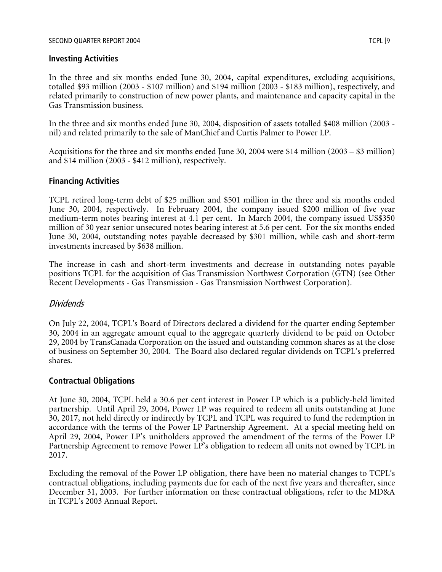#### **Investing Activities**

In the three and six months ended June 30, 2004, capital expenditures, excluding acquisitions, totalled \$93 million (2003 - \$107 million) and \$194 million (2003 - \$183 million), respectively, and related primarily to construction of new power plants, and maintenance and capacity capital in the Gas Transmission business.

In the three and six months ended June 30, 2004, disposition of assets totalled \$408 million (2003 nil) and related primarily to the sale of ManChief and Curtis Palmer to Power LP.

Acquisitions for the three and six months ended June 30, 2004 were \$14 million (2003 – \$3 million) and \$14 million (2003 - \$412 million), respectively.

#### **Financing Activities**

TCPL retired long-term debt of \$25 million and \$501 million in the three and six months ended June 30, 2004, respectively. In February 2004, the company issued \$200 million of five year medium-term notes bearing interest at 4.1 per cent. In March 2004, the company issued US\$350 million of 30 year senior unsecured notes bearing interest at 5.6 per cent. For the six months ended June 30, 2004, outstanding notes payable decreased by \$301 million, while cash and short-term investments increased by \$638 million.

The increase in cash and short-term investments and decrease in outstanding notes payable positions TCPL for the acquisition of Gas Transmission Northwest Corporation (GTN) (see Other Recent Developments - Gas Transmission - Gas Transmission Northwest Corporation).

## Dividends

On July 22, 2004, TCPL's Board of Directors declared a dividend for the quarter ending September 30, 2004 in an aggregate amount equal to the aggregate quarterly dividend to be paid on October 29, 2004 by TransCanada Corporation on the issued and outstanding common shares as at the close of business on September 30, 2004. The Board also declared regular dividends on TCPL's preferred shares.

## **Contractual Obligations**

At June 30, 2004, TCPL held a 30.6 per cent interest in Power LP which is a publicly-held limited partnership. Until April 29, 2004, Power LP was required to redeem all units outstanding at June 30, 2017, not held directly or indirectly by TCPL and TCPL was required to fund the redemption in accordance with the terms of the Power LP Partnership Agreement. At a special meeting held on April 29, 2004, Power LP's unitholders approved the amendment of the terms of the Power LP Partnership Agreement to remove Power LP's obligation to redeem all units not owned by TCPL in 2017.

Excluding the removal of the Power LP obligation, there have been no material changes to TCPL's contractual obligations, including payments due for each of the next five years and thereafter, since December 31, 2003. For further information on these contractual obligations, refer to the MD&A in TCPL's 2003 Annual Report.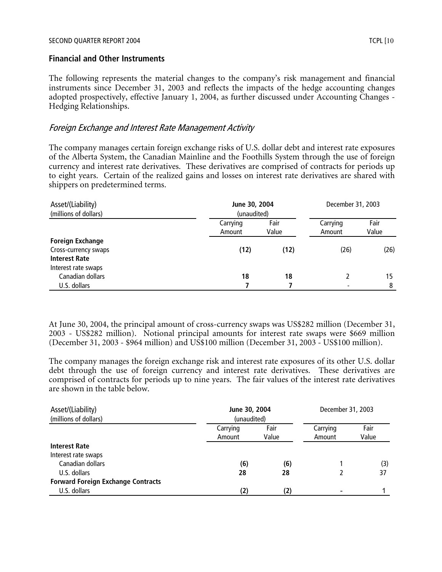#### **Financial and Other Instruments**

The following represents the material changes to the company's risk management and financial instruments since December 31, 2003 and reflects the impacts of the hedge accounting changes adopted prospectively, effective January 1, 2004, as further discussed under Accounting Changes - Hedging Relationships.

#### Foreign Exchange and Interest Rate Management Activity

The company manages certain foreign exchange risks of U.S. dollar debt and interest rate exposures of the Alberta System, the Canadian Mainline and the Foothills System through the use of foreign currency and interest rate derivatives. These derivatives are comprised of contracts for periods up to eight years. Certain of the realized gains and losses on interest rate derivatives are shared with shippers on predetermined terms.

| Asset/(Liability)       |                    | June 30, 2004 |                          | December 31, 2003 |
|-------------------------|--------------------|---------------|--------------------------|-------------------|
| (millions of dollars)   | (unaudited)        |               |                          |                   |
|                         | Carrying<br>Amount | Fair<br>Value | Carrying<br>Amount       | Fair<br>Value     |
| <b>Foreign Exchange</b> |                    |               |                          |                   |
| Cross-currency swaps    | (12)               | (12)          | (26)                     | (26)              |
| <b>Interest Rate</b>    |                    |               |                          |                   |
| Interest rate swaps     |                    |               |                          |                   |
| Canadian dollars        | 18                 | 18            |                          | 15                |
| U.S. dollars            |                    |               | $\overline{\phantom{0}}$ | 8                 |

At June 30, 2004, the principal amount of cross-currency swaps was US\$282 million (December 31, 2003 - US\$282 million). Notional principal amounts for interest rate swaps were \$669 million (December 31, 2003 - \$964 million) and US\$100 million (December 31, 2003 - US\$100 million).

The company manages the foreign exchange risk and interest rate exposures of its other U.S. dollar debt through the use of foreign currency and interest rate derivatives. These derivatives are comprised of contracts for periods up to nine years. The fair values of the interest rate derivatives are shown in the table below.

| Asset/(Liability)                         |             | June 30, 2004 |          | December 31, 2003 |
|-------------------------------------------|-------------|---------------|----------|-------------------|
| (millions of dollars)                     | (unaudited) |               |          |                   |
|                                           | Carrying    | Fair          | Carrying | Fair              |
|                                           | Amount      | Value         | Amount   | Value             |
| <b>Interest Rate</b>                      |             |               |          |                   |
| Interest rate swaps                       |             |               |          |                   |
| Canadian dollars                          | (6)         | (6)           |          | (3)               |
| U.S. dollars                              | 28          | 28            |          | 37                |
| <b>Forward Foreign Exchange Contracts</b> |             |               |          |                   |
| U.S. dollars                              | (2)         | (2)           |          |                   |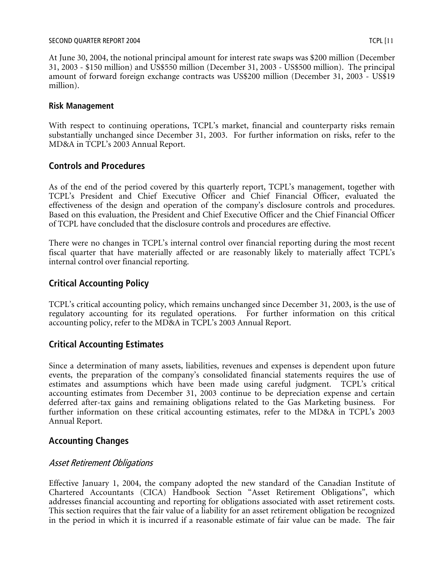#### SECOND QUARTER REPORT 2004 TCPL [11] TERMINE TO A SECOND QUARTER REPORT 2004

At June 30, 2004, the notional principal amount for interest rate swaps was \$200 million (December 31, 2003 - \$150 million) and US\$550 million (December 31, 2003 - US\$500 million). The principal amount of forward foreign exchange contracts was US\$200 million (December 31, 2003 - US\$19 million).

#### **Risk Management**

With respect to continuing operations, TCPL's market, financial and counterparty risks remain substantially unchanged since December 31, 2003. For further information on risks, refer to the MD&A in TCPL's 2003 Annual Report.

## **Controls and Procedures**

As of the end of the period covered by this quarterly report, TCPL's management, together with TCPL's President and Chief Executive Officer and Chief Financial Officer, evaluated the effectiveness of the design and operation of the company's disclosure controls and procedures. Based on this evaluation, the President and Chief Executive Officer and the Chief Financial Officer of TCPL have concluded that the disclosure controls and procedures are effective.

There were no changes in TCPL's internal control over financial reporting during the most recent fiscal quarter that have materially affected or are reasonably likely to materially affect TCPL's internal control over financial reporting.

## **Critical Accounting Policy**

TCPL's critical accounting policy, which remains unchanged since December 31, 2003, is the use of regulatory accounting for its regulated operations. For further information on this critical accounting policy, refer to the MD&A in TCPL's 2003 Annual Report.

## **Critical Accounting Estimates**

Since a determination of many assets, liabilities, revenues and expenses is dependent upon future events, the preparation of the company's consolidated financial statements requires the use of estimates and assumptions which have been made using careful judgment. TCPL's critical accounting estimates from December 31, 2003 continue to be depreciation expense and certain deferred after-tax gains and remaining obligations related to the Gas Marketing business. For further information on these critical accounting estimates, refer to the MD&A in TCPL's 2003 Annual Report.

## **Accounting Changes**

## Asset Retirement Obligations

Effective January 1, 2004, the company adopted the new standard of the Canadian Institute of Chartered Accountants (CICA) Handbook Section "Asset Retirement Obligations", which addresses financial accounting and reporting for obligations associated with asset retirement costs. This section requires that the fair value of a liability for an asset retirement obligation be recognized in the period in which it is incurred if a reasonable estimate of fair value can be made. The fair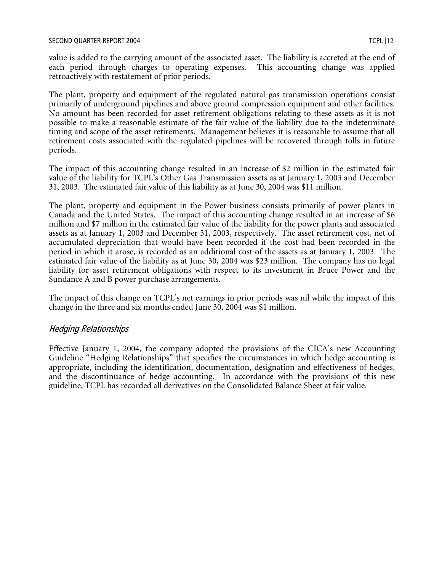value is added to the carrying amount of the associated asset. The liability is accreted at the end of each period through charges to operating expenses. This accounting change was applied retroactively with restatement of prior periods.

The plant, property and equipment of the regulated natural gas transmission operations consist primarily of underground pipelines and above ground compression equipment and other facilities. No amount has been recorded for asset retirement obligations relating to these assets as it is not possible to make a reasonable estimate of the fair value of the liability due to the indeterminate timing and scope of the asset retirements. Management believes it is reasonable to assume that all retirement costs associated with the regulated pipelines will be recovered through tolls in future periods.

The impact of this accounting change resulted in an increase of \$2 million in the estimated fair value of the liability for TCPL's Other Gas Transmission assets as at January 1, 2003 and December 31, 2003. The estimated fair value of this liability as at June 30, 2004 was \$11 million.

The plant, property and equipment in the Power business consists primarily of power plants in Canada and the United States. The impact of this accounting change resulted in an increase of \$6 million and \$7 million in the estimated fair value of the liability for the power plants and associated assets as at January 1, 2003 and December 31, 2003, respectively. The asset retirement cost, net of accumulated depreciation that would have been recorded if the cost had been recorded in the period in which it arose, is recorded as an additional cost of the assets as at January 1, 2003. The estimated fair value of the liability as at June 30, 2004 was \$23 million. The company has no legal liability for asset retirement obligations with respect to its investment in Bruce Power and the Sundance A and B power purchase arrangements.

The impact of this change on TCPL's net earnings in prior periods was nil while the impact of this change in the three and six months ended June 30, 2004 was \$1 million.

## Hedging Relationships

Effective January 1, 2004, the company adopted the provisions of the CICA's new Accounting Guideline "Hedging Relationships" that specifies the circumstances in which hedge accounting is appropriate, including the identification, documentation, designation and effectiveness of hedges, and the discontinuance of hedge accounting. In accordance with the provisions of this new guideline, TCPL has recorded all derivatives on the Consolidated Balance Sheet at fair value.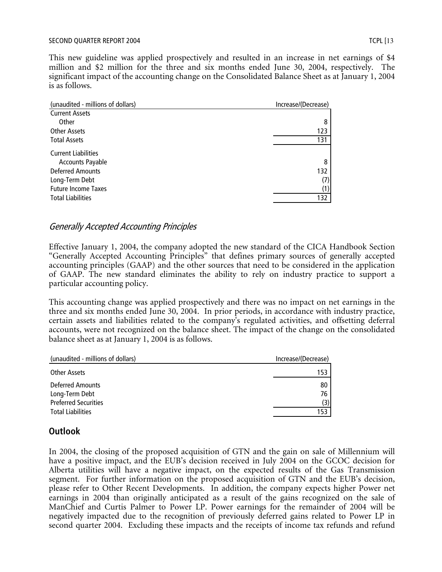#### SECOND QUARTER REPORT 2004 TCPL [13] TERMING THE REPORT 2004

This new guideline was applied prospectively and resulted in an increase in net earnings of \$4 million and \$2 million for the three and six months ended June 30, 2004, respectively. The significant impact of the accounting change on the Consolidated Balance Sheet as at January 1, 2004 is as follows.

| (unaudited - millions of dollars) | Increase/(Decrease) |
|-----------------------------------|---------------------|
| <b>Current Assets</b>             |                     |
| Other                             | 8                   |
| Other Assets                      | 123                 |
| <b>Total Assets</b>               | 131                 |
| <b>Current Liabilities</b>        |                     |
| <b>Accounts Payable</b>           | 8                   |
| <b>Deferred Amounts</b>           | 132                 |
| Long-Term Debt                    | (7)                 |
| <b>Future Income Taxes</b>        | (1)                 |
| <b>Total Liabilities</b>          | 132                 |
|                                   |                     |

## Generally Accepted Accounting Principles

Effective January 1, 2004, the company adopted the new standard of the CICA Handbook Section "Generally Accepted Accounting Principles" that defines primary sources of generally accepted accounting principles (GAAP) and the other sources that need to be considered in the application of GAAP. The new standard eliminates the ability to rely on industry practice to support a particular accounting policy.

This accounting change was applied prospectively and there was no impact on net earnings in the three and six months ended June 30, 2004. In prior periods, in accordance with industry practice, certain assets and liabilities related to the company's regulated activities, and offsetting deferral accounts, were not recognized on the balance sheet. The impact of the change on the consolidated balance sheet as at January 1, 2004 is as follows.

| (unaudited - millions of dollars)  | Increase/(Decrease) |
|------------------------------------|---------------------|
| Other Assets                       | 153                 |
| Deferred Amounts<br>Long-Term Debt | 80<br>76            |
| <b>Preferred Securities</b>        | (3)                 |
| <b>Total Liabilities</b>           | 153                 |

## **Outlook**

In 2004, the closing of the proposed acquisition of GTN and the gain on sale of Millennium will have a positive impact, and the EUB's decision received in July 2004 on the GCOC decision for Alberta utilities will have a negative impact, on the expected results of the Gas Transmission segment. For further information on the proposed acquisition of GTN and the EUB's decision, please refer to Other Recent Developments. In addition, the company expects higher Power net earnings in 2004 than originally anticipated as a result of the gains recognized on the sale of ManChief and Curtis Palmer to Power LP. Power earnings for the remainder of 2004 will be negatively impacted due to the recognition of previously deferred gains related to Power LP in second quarter 2004. Excluding these impacts and the receipts of income tax refunds and refund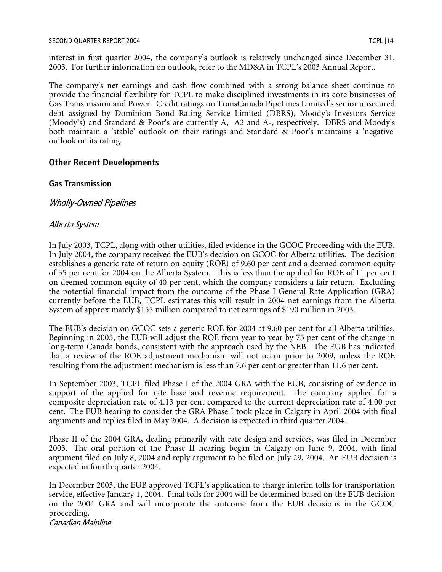interest in first quarter 2004, the company's outlook is relatively unchanged since December 31, 2003. For further information on outlook, refer to the MD&A in TCPL's 2003 Annual Report.

The company's net earnings and cash flow combined with a strong balance sheet continue to provide the financial flexibility for TCPL to make disciplined investments in its core businesses of Gas Transmission and Power. Credit ratings on TransCanada PipeLines Limited's senior unsecured debt assigned by Dominion Bond Rating Service Limited (DBRS), Moody's Investors Service (Moody's) and Standard & Poor's are currently A, A2 and A-, respectively. DBRS and Moody's both maintain a 'stable' outlook on their ratings and Standard & Poor's maintains a 'negative' outlook on its rating.

## **Other Recent Developments**

#### **Gas Transmission**

Wholly-Owned Pipelines

#### Alberta System

In July 2003, TCPL, along with other utilities, filed evidence in the GCOC Proceeding with the EUB. In July 2004, the company received the EUB's decision on GCOC for Alberta utilities. The decision establishes a generic rate of return on equity (ROE) of 9.60 per cent and a deemed common equity of 35 per cent for 2004 on the Alberta System. This is less than the applied for ROE of 11 per cent on deemed common equity of 40 per cent, which the company considers a fair return. Excluding the potential financial impact from the outcome of the Phase I General Rate Application (GRA) currently before the EUB, TCPL estimates this will result in 2004 net earnings from the Alberta System of approximately \$155 million compared to net earnings of \$190 million in 2003.

The EUB's decision on GCOC sets a generic ROE for 2004 at 9.60 per cent for all Alberta utilities. Beginning in 2005, the EUB will adjust the ROE from year to year by 75 per cent of the change in long-term Canada bonds, consistent with the approach used by the NEB. The EUB has indicated that a review of the ROE adjustment mechanism will not occur prior to 2009, unless the ROE resulting from the adjustment mechanism is less than 7.6 per cent or greater than 11.6 per cent.

In September 2003, TCPL filed Phase I of the 2004 GRA with the EUB, consisting of evidence in support of the applied for rate base and revenue requirement. The company applied for a composite depreciation rate of 4.13 per cent compared to the current depreciation rate of 4.00 per cent. The EUB hearing to consider the GRA Phase I took place in Calgary in April 2004 with final arguments and replies filed in May 2004. A decision is expected in third quarter 2004.

Phase II of the 2004 GRA, dealing primarily with rate design and services, was filed in December 2003. The oral portion of the Phase II hearing began in Calgary on June 9, 2004, with final argument filed on July 8, 2004 and reply argument to be filed on July 29, 2004. An EUB decision is expected in fourth quarter 2004.

In December 2003, the EUB approved TCPL's application to charge interim tolls for transportation service, effective January 1, 2004. Final tolls for 2004 will be determined based on the EUB decision on the 2004 GRA and will incorporate the outcome from the EUB decisions in the GCOC proceeding.

Canadian Mainline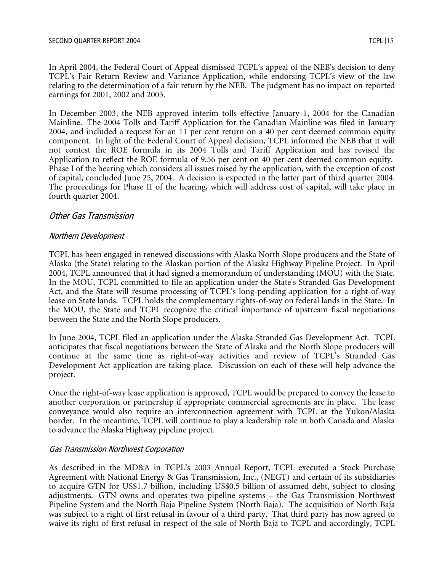In April 2004, the Federal Court of Appeal dismissed TCPL's appeal of the NEB's decision to deny TCPL's Fair Return Review and Variance Application, while endorsing TCPL's view of the law relating to the determination of a fair return by the NEB. The judgment has no impact on reported earnings for 2001, 2002 and 2003.

In December 2003, the NEB approved interim tolls effective January 1, 2004 for the Canadian Mainline. The 2004 Tolls and Tariff Application for the Canadian Mainline was filed in January 2004, and included a request for an 11 per cent return on a 40 per cent deemed common equity component. In light of the Federal Court of Appeal decision, TCPL informed the NEB that it will not contest the ROE formula in its 2004 Tolls and Tariff Application and has revised the Application to reflect the ROE formula of 9.56 per cent on 40 per cent deemed common equity. Phase I of the hearing which considers all issues raised by the application, with the exception of cost of capital, concluded June 25, 2004. A decision is expected in the latter part of third quarter 2004. The proceedings for Phase II of the hearing, which will address cost of capital, will take place in fourth quarter 2004.

#### Other Gas Transmission

#### Northern Development

TCPL has been engaged in renewed discussions with Alaska North Slope producers and the State of Alaska (the State) relating to the Alaskan portion of the Alaska Highway Pipeline Project. In April 2004, TCPL announced that it had signed a memorandum of understanding (MOU) with the State. In the MOU, TCPL committed to file an application under the State's Stranded Gas Development Act, and the State will resume processing of TCPL's long-pending application for a right-of-way lease on State lands. TCPL holds the complementary rights-of-way on federal lands in the State. In the MOU, the State and TCPL recognize the critical importance of upstream fiscal negotiations between the State and the North Slope producers.

In June 2004, TCPL filed an application under the Alaska Stranded Gas Development Act. TCPL anticipates that fiscal negotiations between the State of Alaska and the North Slope producers will continue at the same time as right-of-way activities and review of TCPL's Stranded Gas Development Act application are taking place. Discussion on each of these will help advance the project.

Once the right-of-way lease application is approved, TCPL would be prepared to convey the lease to another corporation or partnership if appropriate commercial agreements are in place. The lease conveyance would also require an interconnection agreement with TCPL at the Yukon/Alaska border. In the meantime, TCPL will continue to play a leadership role in both Canada and Alaska to advance the Alaska Highway pipeline project.

#### Gas Transmission Northwest Corporation

As described in the MD&A in TCPL's 2003 Annual Report, TCPL executed a Stock Purchase Agreement with National Energy & Gas Transmission, Inc., (NEGT) and certain of its subsidiaries to acquire GTN for US\$1.7 billion, including US\$0.5 billion of assumed debt, subject to closing adjustments. GTN owns and operates two pipeline systems – the Gas Transmission Northwest Pipeline System and the North Baja Pipeline System (North Baja). The acquisition of North Baja was subject to a right of first refusal in favour of a third party. That third party has now agreed to waive its right of first refusal in respect of the sale of North Baja to TCPL and accordingly, TCPL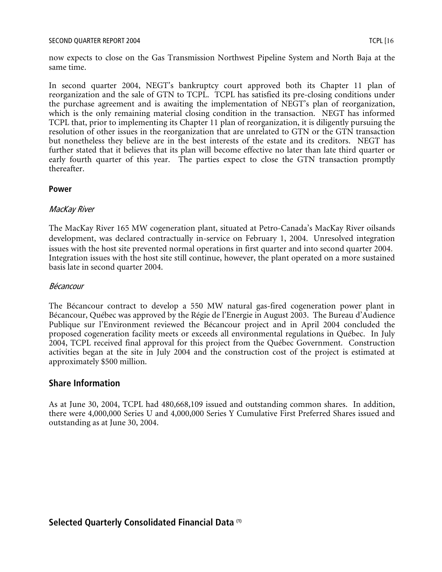now expects to close on the Gas Transmission Northwest Pipeline System and North Baja at the same time.

In second quarter 2004, NEGT's bankruptcy court approved both its Chapter 11 plan of reorganization and the sale of GTN to TCPL. TCPL has satisfied its pre-closing conditions under the purchase agreement and is awaiting the implementation of NEGT's plan of reorganization, which is the only remaining material closing condition in the transaction. NEGT has informed TCPL that, prior to implementing its Chapter 11 plan of reorganization, it is diligently pursuing the resolution of other issues in the reorganization that are unrelated to GTN or the GTN transaction but nonetheless they believe are in the best interests of the estate and its creditors. NEGT has further stated that it believes that its plan will become effective no later than late third quarter or early fourth quarter of this year. The parties expect to close the GTN transaction promptly thereafter.

#### **Power**

#### MacKay River

The MacKay River 165 MW cogeneration plant, situated at Petro-Canada's MacKay River oilsands development, was declared contractually in-service on February 1, 2004. Unresolved integration issues with the host site prevented normal operations in first quarter and into second quarter 2004. Integration issues with the host site still continue, however, the plant operated on a more sustained basis late in second quarter 2004.

#### Bécancour

The Bécancour contract to develop a 550 MW natural gas-fired cogeneration power plant in Bécancour, Québec was approved by the Régie de l'Energie in August 2003. The Bureau d'Audience Publique sur l'Environment reviewed the Bécancour project and in April 2004 concluded the proposed cogeneration facility meets or exceeds all environmental regulations in Québec. In July 2004, TCPL received final approval for this project from the Québec Government. Construction activities began at the site in July 2004 and the construction cost of the project is estimated at approximately \$500 million.

#### **Share Information**

As at June 30, 2004, TCPL had 480,668,109 issued and outstanding common shares. In addition, there were 4,000,000 Series U and 4,000,000 Series Y Cumulative First Preferred Shares issued and outstanding as at June 30, 2004.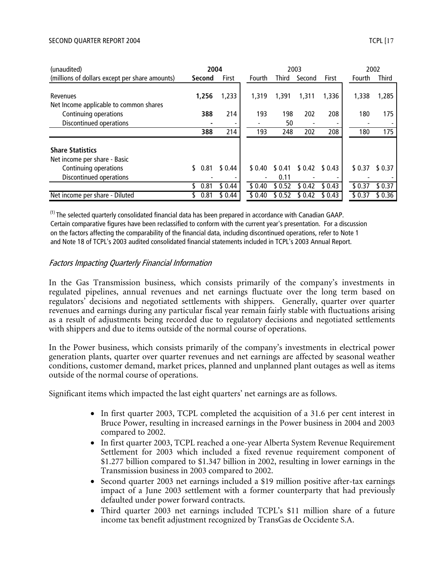#### SECOND QUARTER REPORT 2004 TCPL [17] TREAD TO THE SECOND QUARTER REPORT 2004

| (unaudited)                                                                                                 | 2004   |      | 2003   |             |                |         | 2002    |         |  |              |
|-------------------------------------------------------------------------------------------------------------|--------|------|--------|-------------|----------------|---------|---------|---------|--|--------------|
| (millions of dollars except per share amounts)                                                              | Second |      | First  | Fourth      | <b>Third</b>   | Second  | First   | Fourth  |  | <b>Third</b> |
| Revenues<br>Net Income applicable to common shares                                                          | 1,256  |      | 1,233  | 1,319       | 1,391          | 1,311   | 1,336   | 1,338   |  | 1,285        |
| Continuing operations                                                                                       |        | 388  | 214    | 193         | 198            | 202     | 208     | 180     |  | 175          |
| Discontinued operations                                                                                     |        |      |        |             | 50             |         |         |         |  |              |
|                                                                                                             |        | 388  | 214    | 193         | 248            | 202     | 208     | 180     |  | 175          |
| <b>Share Statistics</b><br>Net income per share - Basic<br>Continuing operations<br>Discontinued operations | S.     | 0.81 | \$0.44 | \$0.40<br>٠ | \$0.41<br>0.11 | \$ 0.42 | \$ 0.43 | \$0.37  |  | \$ 0.37      |
|                                                                                                             |        | 0.81 | \$0.44 | \$0.40      | \$0.52         | \$ 0.42 | \$0.43  | \$0.37  |  | \$0.37       |
| Net income per share - Diluted                                                                              |        | 0.81 | \$0.44 | \$ 0.40     | \$ 0.52        | \$ 0.42 | \$ 0.43 | \$ 0.37 |  | \$0.36       |

 $<sup>(1)</sup>$  The selected quarterly consolidated financial data has been prepared in accordance with Canadian GAAP.</sup> Certain comparative figures have been reclassified to conform with the current year's presentation. For a discussion on the factors affecting the comparability of the financial data, including discontinued operations, refer to Note 1 and Note 18 of TCPL's 2003 audited consolidated financial statements included in TCPL's 2003 Annual Report.

#### Factors Impacting Quarterly Financial Information

In the Gas Transmission business, which consists primarily of the company's investments in regulated pipelines, annual revenues and net earnings fluctuate over the long term based on regulators' decisions and negotiated settlements with shippers. Generally, quarter over quarter revenues and earnings during any particular fiscal year remain fairly stable with fluctuations arising as a result of adjustments being recorded due to regulatory decisions and negotiated settlements with shippers and due to items outside of the normal course of operations.

In the Power business, which consists primarily of the company's investments in electrical power generation plants, quarter over quarter revenues and net earnings are affected by seasonal weather conditions, customer demand, market prices, planned and unplanned plant outages as well as items outside of the normal course of operations.

Significant items which impacted the last eight quarters' net earnings are as follows.

- In first quarter 2003, TCPL completed the acquisition of a 31.6 per cent interest in Bruce Power, resulting in increased earnings in the Power business in 2004 and 2003 compared to 2002.
- In first quarter 2003, TCPL reached a one-year Alberta System Revenue Requirement Settlement for 2003 which included a fixed revenue requirement component of \$1.277 billion compared to \$1.347 billion in 2002, resulting in lower earnings in the Transmission business in 2003 compared to 2002.
- Second quarter 2003 net earnings included a \$19 million positive after-tax earnings impact of a June 2003 settlement with a former counterparty that had previously defaulted under power forward contracts.
- Third quarter 2003 net earnings included TCPL's \$11 million share of a future income tax benefit adjustment recognized by TransGas de Occidente S.A.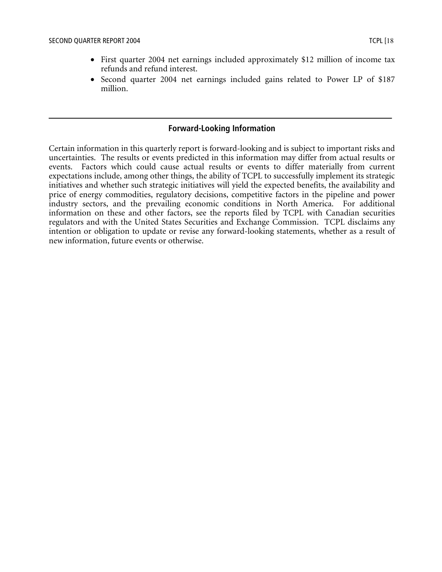- First quarter 2004 net earnings included approximately \$12 million of income tax refunds and refund interest.
- Second quarter 2004 net earnings included gains related to Power LP of \$187 million.

#### **Forward-Looking Information**

Certain information in this quarterly report is forward-looking and is subject to important risks and uncertainties. The results or events predicted in this information may differ from actual results or events. Factors which could cause actual results or events to differ materially from current expectations include, among other things, the ability of TCPL to successfully implement its strategic initiatives and whether such strategic initiatives will yield the expected benefits, the availability and price of energy commodities, regulatory decisions, competitive factors in the pipeline and power industry sectors, and the prevailing economic conditions in North America. For additional information on these and other factors, see the reports filed by TCPL with Canadian securities regulators and with the United States Securities and Exchange Commission. TCPL disclaims any intention or obligation to update or revise any forward-looking statements, whether as a result of new information, future events or otherwise.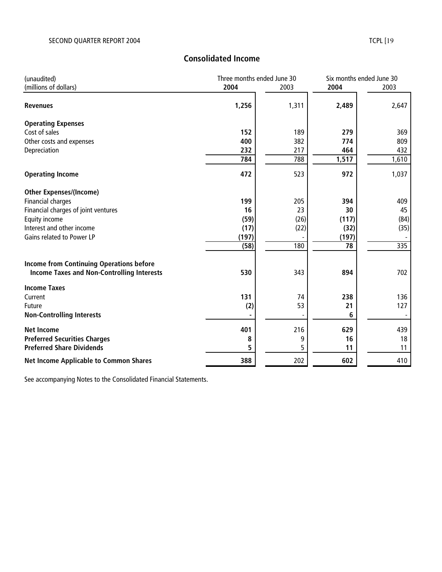# **Consolidated Income**

| (unaudited)                                       |       | Three months ended June 30 |                 | Six months ended June 30 |
|---------------------------------------------------|-------|----------------------------|-----------------|--------------------------|
| (millions of dollars)                             | 2004  | 2003                       | 2004            | 2003                     |
| <b>Revenues</b>                                   | 1,256 | 1,311                      | 2,489           | 2,647                    |
| <b>Operating Expenses</b>                         |       |                            |                 |                          |
| Cost of sales                                     | 152   | 189                        | 279             | 369                      |
| Other costs and expenses                          | 400   | 382                        | 774             | 809                      |
| Depreciation                                      | 232   | 217                        | 464             | 432                      |
|                                                   | 784   | 788                        | 1,517           | 1,610                    |
| <b>Operating Income</b>                           | 472   | 523                        | 972             | 1,037                    |
| <b>Other Expenses/(Income)</b>                    |       |                            |                 |                          |
| <b>Financial charges</b>                          | 199   | 205                        | 394             | 409                      |
| Financial charges of joint ventures               | 16    | 23                         | 30              | 45                       |
| Equity income                                     | (59)  | (26)                       | (117)           | (84)                     |
| Interest and other income                         | (17)  | (22)                       | (32)            | (35)                     |
| Gains related to Power LP                         | (197) |                            | (197)           |                          |
|                                                   | (58)  | 180                        | $\overline{78}$ | 335                      |
| <b>Income from Continuing Operations before</b>   |       |                            |                 |                          |
| <b>Income Taxes and Non-Controlling Interests</b> | 530   | 343                        | 894             | 702                      |
| <b>Income Taxes</b>                               |       |                            |                 |                          |
| Current                                           | 131   | 74                         | 238             | 136                      |
| Future                                            | (2)   | 53                         | 21              | 127                      |
| <b>Non-Controlling Interests</b>                  |       |                            | 6               |                          |
| <b>Net Income</b>                                 | 401   | 216                        | 629             | 439                      |
| <b>Preferred Securities Charges</b>               | 8     | 9                          | 16              | 18                       |
| <b>Preferred Share Dividends</b>                  | 5     | 5                          | 11              | 11                       |
| <b>Net Income Applicable to Common Shares</b>     | 388   | 202                        | 602             | 410                      |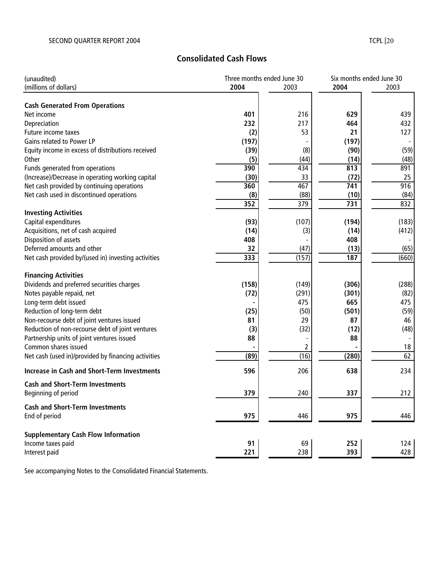## **Consolidated Cash Flows**

| (unaudited)                                         | Three months ended June 30 |       | Six months ended June 30 |       |  |
|-----------------------------------------------------|----------------------------|-------|--------------------------|-------|--|
| (millions of dollars)                               | 2004                       | 2003  | 2004                     | 2003  |  |
| <b>Cash Generated From Operations</b>               |                            |       |                          |       |  |
| Net income                                          | 401                        | 216   | 629                      | 439   |  |
| Depreciation                                        | 232                        | 217   | 464                      | 432   |  |
| Future income taxes                                 | (2)                        | 53    | 21                       | 127   |  |
| Gains related to Power LP                           | (197)                      |       | (197)                    |       |  |
| Equity income in excess of distributions received   | (39)                       | (8)   | (90)                     | (59)  |  |
| Other                                               | (5)                        | (44)  | (14)                     | (48)  |  |
| Funds generated from operations                     | 390                        | 434   | 813                      | 891   |  |
| (Increase)/Decrease in operating working capital    | (30)                       | 33    | (72)                     | 25    |  |
| Net cash provided by continuing operations          | 360                        | 467   | 741                      | 916   |  |
| Net cash used in discontinued operations            | (8)                        | (88)  | (10)                     | (84)  |  |
|                                                     | 352                        | 379   | 731                      | 832   |  |
| <b>Investing Activities</b>                         |                            |       |                          |       |  |
| Capital expenditures                                | (93)                       | (107) | (194)                    | (183) |  |
| Acquisitions, net of cash acquired                  | (14)                       | (3)   | (14)                     | (412) |  |
| Disposition of assets                               | 408                        |       | 408                      |       |  |
| Deferred amounts and other                          | 32                         | (47)  | (13)                     | (65)  |  |
| Net cash provided by/(used in) investing activities | 333                        | (157) | 187                      | (660) |  |
|                                                     |                            |       |                          |       |  |
| <b>Financing Activities</b>                         |                            | (149) | (306)                    | (288) |  |
| Dividends and preferred securities charges          | (158)<br>(72)              | (291) | (301)                    | (82)  |  |
| Notes payable repaid, net<br>Long-term debt issued  |                            | 475   | 665                      | 475   |  |
| Reduction of long-term debt                         | (25)                       | (50)  | (501)                    | (59)  |  |
| Non-recourse debt of joint ventures issued          | 81                         | 29    | 87                       | 46    |  |
| Reduction of non-recourse debt of joint ventures    | (3)                        | (32)  | (12)                     | (48)  |  |
| Partnership units of joint ventures issued          | 88                         |       | 88                       |       |  |
| Common shares issued                                |                            | 2     |                          | 18    |  |
| Net cash (used in)/provided by financing activities | (89)                       | (16)  | (280)                    | 62    |  |
|                                                     |                            |       |                          |       |  |
| <b>Increase in Cash and Short-Term Investments</b>  | 596                        | 206   | 638                      | 234   |  |
| <b>Cash and Short-Term Investments</b>              |                            |       |                          |       |  |
| Beginning of period                                 | 379                        | 240   | 337                      | 212   |  |
| <b>Cash and Short-Term Investments</b>              |                            |       |                          |       |  |
| End of period                                       | 975                        | 446   | 975                      | 446   |  |
| <b>Supplementary Cash Flow Information</b>          |                            |       |                          |       |  |
| Income taxes paid                                   | 91                         | 69    | 252                      | 124   |  |
| Interest paid                                       | 221                        | 238   | 393                      | 428   |  |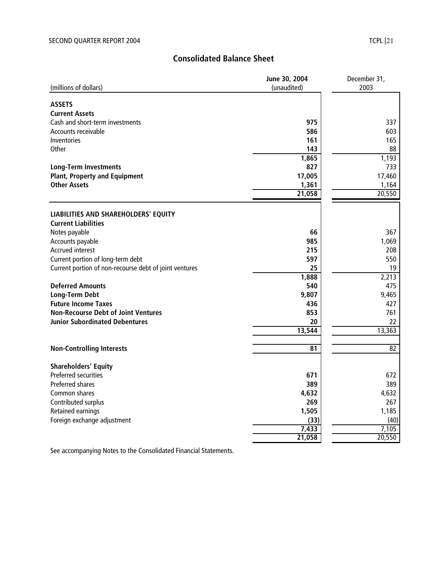## **Consolidated Balance Sheet**

|                                                        | June 30, 2004   | December 31,    |  |  |
|--------------------------------------------------------|-----------------|-----------------|--|--|
| (millions of dollars)                                  | (unaudited)     | 2003            |  |  |
|                                                        |                 |                 |  |  |
| <b>ASSETS</b>                                          |                 |                 |  |  |
| <b>Current Assets</b>                                  |                 |                 |  |  |
| Cash and short-term investments                        | 975             | 337             |  |  |
| Accounts receivable                                    | 586             | 603             |  |  |
| Inventories                                            | 161             | 165             |  |  |
| Other                                                  | 143             | 88              |  |  |
|                                                        | 1,865           | 1,193           |  |  |
| <b>Long-Term Investments</b>                           | 827             | 733             |  |  |
| <b>Plant, Property and Equipment</b>                   | 17,005          | 17,460          |  |  |
| <b>Other Assets</b>                                    | 1,361           | 1,164           |  |  |
|                                                        | 21,058          | 20,550          |  |  |
|                                                        |                 |                 |  |  |
| LIABILITIES AND SHAREHOLDERS' EQUITY                   |                 |                 |  |  |
| <b>Current Liabilities</b>                             |                 |                 |  |  |
| Notes payable                                          | 66              | 367             |  |  |
| Accounts payable                                       | 985             | 1,069           |  |  |
| <b>Accrued interest</b>                                | 215             | 208             |  |  |
| Current portion of long-term debt                      | 597             | 550             |  |  |
| Current portion of non-recourse debt of joint ventures | 25              | 19              |  |  |
|                                                        | 1,888           | 2,213           |  |  |
| <b>Deferred Amounts</b>                                | 540             | 475             |  |  |
| Long-Term Debt                                         | 9,807           | 9,465           |  |  |
| <b>Future Income Taxes</b>                             | 436             | 427             |  |  |
| <b>Non-Recourse Debt of Joint Ventures</b>             | 853             | 761             |  |  |
| <b>Junior Subordinated Debentures</b>                  | 20              | 22              |  |  |
|                                                        | 13,544          | 13,363          |  |  |
|                                                        |                 |                 |  |  |
| <b>Non-Controlling Interests</b>                       | 81              | 82              |  |  |
|                                                        |                 |                 |  |  |
| <b>Shareholders' Equity</b><br>Preferred securities    | 671             | 672             |  |  |
| <b>Preferred shares</b>                                | 389             | 389             |  |  |
| Common shares                                          | 4,632           | 4,632           |  |  |
|                                                        | 269             | 267             |  |  |
| Contributed surplus                                    | 1,505           | 1,185           |  |  |
| <b>Retained earnings</b>                               |                 |                 |  |  |
| Foreign exchange adjustment                            | (33)            | (40)            |  |  |
|                                                        | 7,433<br>21,058 | 7,105<br>20,550 |  |  |
|                                                        |                 |                 |  |  |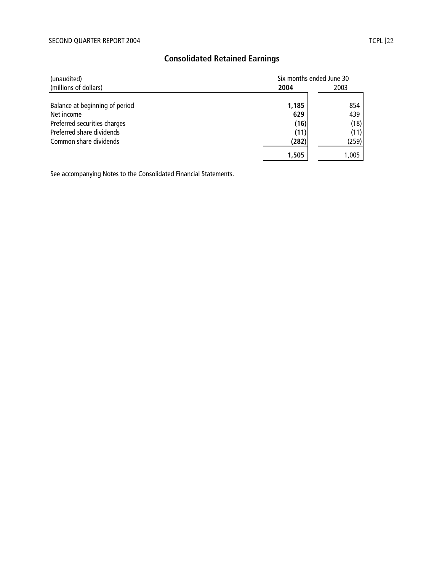| (unaudited)                    |       | Six months ended June 30 |  |  |  |
|--------------------------------|-------|--------------------------|--|--|--|
| (millions of dollars)          | 2004  | 2003                     |  |  |  |
| Balance at beginning of period | 1,185 | 854                      |  |  |  |
| Net income                     | 629   | 439                      |  |  |  |
| Preferred securities charges   | (16)  | (18)                     |  |  |  |
| Preferred share dividends      | (11)  | (11)                     |  |  |  |
| Common share dividends         | (282) | (259)                    |  |  |  |
|                                | 1,505 | 1,005                    |  |  |  |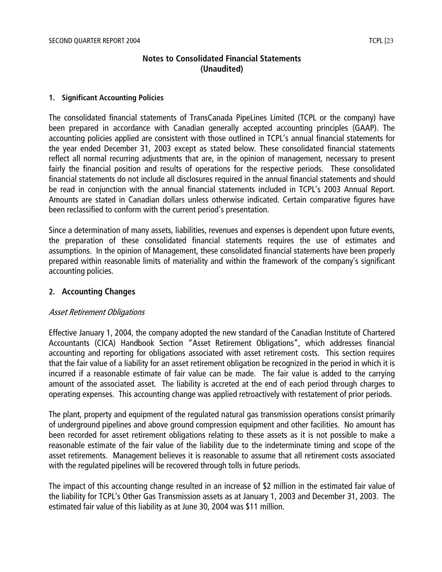## **Notes to Consolidated Financial Statements (Unaudited)**

#### **1. Significant Accounting Policies**

The consolidated financial statements of TransCanada PipeLines Limited (TCPL or the company) have been prepared in accordance with Canadian generally accepted accounting principles (GAAP). The accounting policies applied are consistent with those outlined in TCPL's annual financial statements for the year ended December 31, 2003 except as stated below. These consolidated financial statements reflect all normal recurring adjustments that are, in the opinion of management, necessary to present fairly the financial position and results of operations for the respective periods. These consolidated financial statements do not include all disclosures required in the annual financial statements and should be read in conjunction with the annual financial statements included in TCPL's 2003 Annual Report. Amounts are stated in Canadian dollars unless otherwise indicated. Certain comparative figures have been reclassified to conform with the current period's presentation.

Since a determination of many assets, liabilities, revenues and expenses is dependent upon future events, the preparation of these consolidated financial statements requires the use of estimates and assumptions. In the opinion of Management, these consolidated financial statements have been properly prepared within reasonable limits of materiality and within the framework of the company's significant accounting policies.

#### **2. Accounting Changes**

#### Asset Retirement Obligations

Effective January 1, 2004, the company adopted the new standard of the Canadian Institute of Chartered Accountants (CICA) Handbook Section "Asset Retirement Obligations", which addresses financial accounting and reporting for obligations associated with asset retirement costs. This section requires that the fair value of a liability for an asset retirement obligation be recognized in the period in which it is incurred if a reasonable estimate of fair value can be made. The fair value is added to the carrying amount of the associated asset. The liability is accreted at the end of each period through charges to operating expenses. This accounting change was applied retroactively with restatement of prior periods.

The plant, property and equipment of the regulated natural gas transmission operations consist primarily of underground pipelines and above ground compression equipment and other facilities. No amount has been recorded for asset retirement obligations relating to these assets as it is not possible to make a reasonable estimate of the fair value of the liability due to the indeterminate timing and scope of the asset retirements. Management believes it is reasonable to assume that all retirement costs associated with the regulated pipelines will be recovered through tolls in future periods.

The impact of this accounting change resulted in an increase of \$2 million in the estimated fair value of the liability for TCPL's Other Gas Transmission assets as at January 1, 2003 and December 31, 2003. The estimated fair value of this liability as at June 30, 2004 was \$11 million.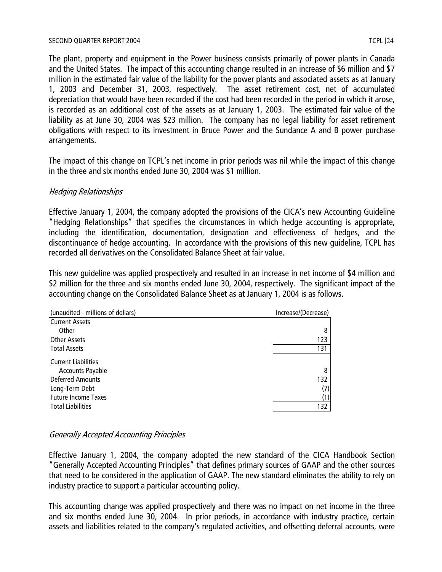The plant, property and equipment in the Power business consists primarily of power plants in Canada and the United States. The impact of this accounting change resulted in an increase of \$6 million and \$7 million in the estimated fair value of the liability for the power plants and associated assets as at January 1, 2003 and December 31, 2003, respectively. The asset retirement cost, net of accumulated depreciation that would have been recorded if the cost had been recorded in the period in which it arose, is recorded as an additional cost of the assets as at January 1, 2003. The estimated fair value of the liability as at June 30, 2004 was \$23 million. The company has no legal liability for asset retirement obligations with respect to its investment in Bruce Power and the Sundance A and B power purchase arrangements.

The impact of this change on TCPL's net income in prior periods was nil while the impact of this change in the three and six months ended June 30, 2004 was \$1 million.

## Hedging Relationships

Effective January 1, 2004, the company adopted the provisions of the CICA's new Accounting Guideline "Hedging Relationships" that specifies the circumstances in which hedge accounting is appropriate, including the identification, documentation, designation and effectiveness of hedges, and the discontinuance of hedge accounting. In accordance with the provisions of this new guideline, TCPL has recorded all derivatives on the Consolidated Balance Sheet at fair value.

This new guideline was applied prospectively and resulted in an increase in net income of \$4 million and \$2 million for the three and six months ended June 30, 2004, respectively. The significant impact of the accounting change on the Consolidated Balance Sheet as at January 1, 2004 is as follows.

| Increase/(Decrease) |
|---------------------|
|                     |
| 8                   |
| 123                 |
| 131                 |
|                     |
| 8                   |
| 132                 |
| (7)                 |
| (1)                 |
| 132                 |
|                     |

## Generally Accepted Accounting Principles

Effective January 1, 2004, the company adopted the new standard of the CICA Handbook Section "Generally Accepted Accounting Principles" that defines primary sources of GAAP and the other sources that need to be considered in the application of GAAP. The new standard eliminates the ability to rely on industry practice to support a particular accounting policy.

This accounting change was applied prospectively and there was no impact on net income in the three and six months ended June 30, 2004. In prior periods, in accordance with industry practice, certain assets and liabilities related to the company's regulated activities, and offsetting deferral accounts, were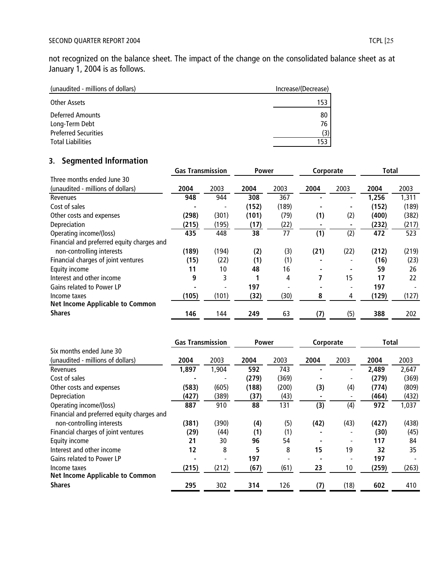not recognized on the balance sheet. The impact of the change on the consolidated balance sheet as at January 1, 2004 is as follows.

| (unaudited - millions of dollars) | Increase/(Decrease) |
|-----------------------------------|---------------------|
| Other Assets                      | 153                 |
| Deferred Amounts                  | 80                  |
| Long-Term Debt                    | 76                  |
| <b>Preferred Securities</b>       | (3)                 |
| <b>Total Liabilities</b>          | 153                 |

# **3. Segmented Information**

|                                            | <b>Gas Transmission</b> |       | <b>Power</b> |       | Corporate |      | Total |       |
|--------------------------------------------|-------------------------|-------|--------------|-------|-----------|------|-------|-------|
| Three months ended June 30                 |                         |       |              |       |           |      |       |       |
| (unaudited - millions of dollars)          | 2004                    | 2003  | 2004         | 2003  | 2004      | 2003 | 2004  | 2003  |
| Revenues                                   | 948                     | 944   | 308          | 367   |           |      | 1,256 | 1,311 |
| Cost of sales                              |                         |       | (152)        | (189) |           |      | (152) | (189) |
| Other costs and expenses                   | (298)                   | (301) | (101)        | (79)  | (1)       | (2)  | (400) | (382) |
| Depreciation                               | (215)                   | (195) | (17)         | (22)  |           |      | (232) | (217) |
| Operating income/(loss)                    | 435                     | 448   | 38           | 77    | (1)       | (2)  | 472   | 523   |
| Financial and preferred equity charges and |                         |       |              |       |           |      |       |       |
| non-controlling interests                  | (189)                   | (194) | (2)          | (3)   | (21)      | (22) | (212) | (219) |
| Financial charges of joint ventures        | (15)                    | (22)  | (1)          | (1)   |           |      | (16)  | (23)  |
| Equity income                              | 11                      | 10    | 48           | 16    |           |      | 59    | 26    |
| Interest and other income                  | 9                       | 3     |              | 4     | 7         | 15   | 17    | 22    |
| Gains related to Power LP                  |                         |       | 197          |       |           |      | 197   |       |
| Income taxes                               | (105)                   | (101) | (32)         | (30)  | 8         | 4    | (129) | (127) |
| <b>Net Income Applicable to Common</b>     |                         |       |              |       |           |      |       |       |
| <b>Shares</b>                              | 146                     | 144   | 249          | 63    | (7)       | (5)  | 388   | 202   |

|                                            | <b>Gas Transmission</b> |       | <b>Power</b> |       | Corporate |      | Total |       |
|--------------------------------------------|-------------------------|-------|--------------|-------|-----------|------|-------|-------|
| Six months ended June 30                   |                         |       |              |       |           |      |       |       |
| (unaudited - millions of dollars)          | 2004                    | 2003  | 2004         | 2003  | 2004      | 2003 | 2004  | 2003  |
| Revenues                                   | 1,897                   | 1,904 | 592          | 743   |           |      | 2,489 | 2,647 |
| Cost of sales                              |                         |       | (279)        | (369) |           |      | (279) | (369) |
| Other costs and expenses                   | (583)                   | (605) | (188)        | (200) | (3)       | (4)  | (774) | (809) |
| Depreciation                               | (427)                   | (389) | (37)         | (43)  |           |      | (464) | (432) |
| Operating income/(loss)                    | 887                     | 910   | 88           | 131   | (3)       | (4)  | 972   | 1,037 |
| Financial and preferred equity charges and |                         |       |              |       |           |      |       |       |
| non-controlling interests                  | (381)                   | (390) | (4)          | (5)   | (42)      | (43) | (427) | (438) |
| Financial charges of joint ventures        | (29)                    | (44)  | (1)          | (1)   |           |      | (30)  | (45)  |
| Equity income                              | 21                      | 30    | 96           | 54    |           |      | 117   | 84    |
| Interest and other income                  | 12                      | 8     | 5            | 8     | 15        | 19   | 32    | 35    |
| Gains related to Power LP                  |                         | ۰     | 197          |       |           |      | 197   |       |
| Income taxes                               | (215)                   | (212) | (67)         | (61)  | 23        | 10   | (259) | (263) |
| <b>Net Income Applicable to Common</b>     |                         |       |              |       |           |      |       |       |
| <b>Shares</b>                              | 295                     | 302   | 314          | 126   | (7)       | (18) | 602   | 410   |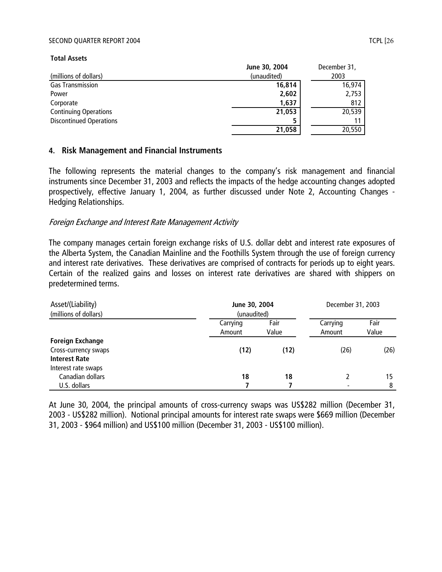#### SECOND QUARTER REPORT 2004 TCPL [26] TERMS TO THE REPORT 2004

**Total Assets**

| (millions of dollars)          | June 30, 2004<br>(unaudited) | December 31,<br>2003 |
|--------------------------------|------------------------------|----------------------|
| <b>Gas Transmission</b>        | 16,814                       | 16,974               |
| Power                          | 2,602                        | 2,753                |
| Corporate                      | 1,637                        | 812                  |
| <b>Continuing Operations</b>   | 21,053                       | 20,539               |
| <b>Discontinued Operations</b> |                              | 11                   |
|                                | 21,058                       | 20,550               |

#### **4. Risk Management and Financial Instruments**

The following represents the material changes to the company's risk management and financial instruments since December 31, 2003 and reflects the impacts of the hedge accounting changes adopted prospectively, effective January 1, 2004, as further discussed under Note 2, Accounting Changes - Hedging Relationships.

#### Foreign Exchange and Interest Rate Management Activity

The company manages certain foreign exchange risks of U.S. dollar debt and interest rate exposures of the Alberta System, the Canadian Mainline and the Foothills System through the use of foreign currency and interest rate derivatives. These derivatives are comprised of contracts for periods up to eight years. Certain of the realized gains and losses on interest rate derivatives are shared with shippers on predetermined terms.

| Asset/(Liability)<br>(millions of dollars)                              | June 30, 2004<br>(unaudited) |               | December 31, 2003        |               |  |
|-------------------------------------------------------------------------|------------------------------|---------------|--------------------------|---------------|--|
|                                                                         | Carrying<br>Amount           | Fair<br>Value | Carrying<br>Amount       | Fair<br>Value |  |
| <b>Foreign Exchange</b><br>Cross-currency swaps<br><b>Interest Rate</b> | (12)                         | (12)          | (26)                     | (26)          |  |
| Interest rate swaps<br>Canadian dollars<br>U.S. dollars                 | 18                           | 18            | $\overline{\phantom{0}}$ | 15<br>8       |  |

At June 30, 2004, the principal amounts of cross-currency swaps was US\$282 million (December 31, 2003 - US\$282 million). Notional principal amounts for interest rate swaps were \$669 million (December 31, 2003 - \$964 million) and US\$100 million (December 31, 2003 - US\$100 million).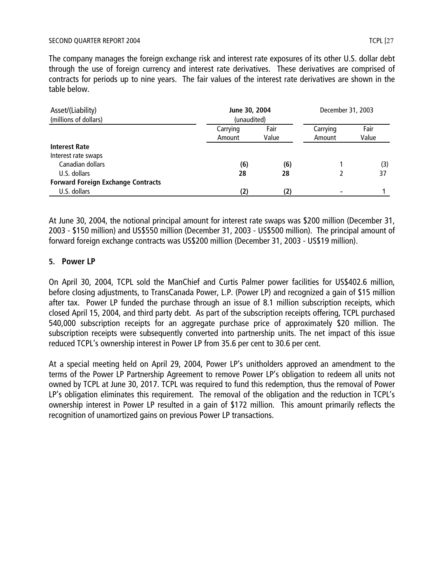The company manages the foreign exchange risk and interest rate exposures of its other U.S. dollar debt through the use of foreign currency and interest rate derivatives. These derivatives are comprised of contracts for periods up to nine years. The fair values of the interest rate derivatives are shown in the table below.

| Asset/(Liability)<br>(millions of dollars) | June 30, 2004<br>(unaudited) |               | December 31, 2003  |               |
|--------------------------------------------|------------------------------|---------------|--------------------|---------------|
|                                            | Carrying<br>Amount           | Fair<br>Value | Carrying<br>Amount | Fair<br>Value |
| <b>Interest Rate</b>                       |                              |               |                    |               |
| Interest rate swaps                        |                              |               |                    |               |
| Canadian dollars                           | (6)                          | (6)           |                    | (3)           |
| U.S. dollars                               | 28                           | 28            |                    | 37            |
| <b>Forward Foreign Exchange Contracts</b>  |                              |               |                    |               |
| U.S. dollars                               | (2)                          | (2)           |                    |               |

At June 30, 2004, the notional principal amount for interest rate swaps was \$200 million (December 31, 2003 - \$150 million) and US\$550 million (December 31, 2003 - US\$500 million). The principal amount of forward foreign exchange contracts was US\$200 million (December 31, 2003 - US\$19 million).

## **5. Power LP**

On April 30, 2004, TCPL sold the ManChief and Curtis Palmer power facilities for US\$402.6 million, before closing adjustments, to TransCanada Power, L.P. (Power LP) and recognized a gain of \$15 million after tax. Power LP funded the purchase through an issue of 8.1 million subscription receipts, which closed April 15, 2004, and third party debt. As part of the subscription receipts offering, TCPL purchased 540,000 subscription receipts for an aggregate purchase price of approximately \$20 million. The subscription receipts were subsequently converted into partnership units. The net impact of this issue reduced TCPL's ownership interest in Power LP from 35.6 per cent to 30.6 per cent.

At a special meeting held on April 29, 2004, Power LP's unitholders approved an amendment to the terms of the Power LP Partnership Agreement to remove Power LP's obligation to redeem all units not owned by TCPL at June 30, 2017. TCPL was required to fund this redemption, thus the removal of Power LP's obligation eliminates this requirement. The removal of the obligation and the reduction in TCPL's ownership interest in Power LP resulted in a gain of \$172 million. This amount primarily reflects the recognition of unamortized gains on previous Power LP transactions.